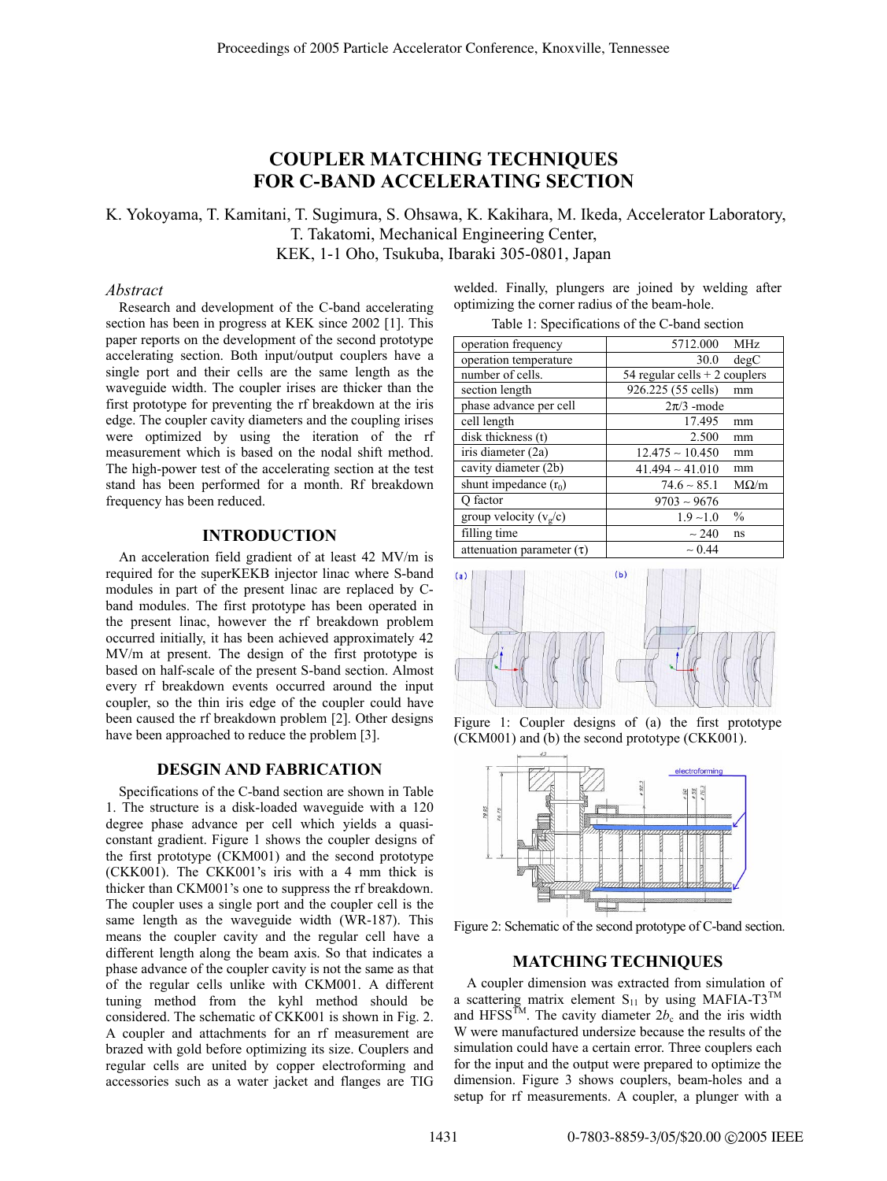# **COUPLER MATCHING TECHNIQUES FOR C-BAND ACCELERATING SECTION**

K. Yokoyama, T. Kamitani, T. Sugimura, S. Ohsawa, K. Kakihara, M. Ikeda, Accelerator Laboratory, T. Takatomi, Mechanical Engineering Center, KEK, 1-1 Oho, Tsukuba, Ibaraki 305-0801, Japan

## *Abstract*

Research and development of the C-band accelerating section has been in progress at KEK since 2002 [1]. This paper reports on the development of the second prototype accelerating section. Both input/output couplers have a single port and their cells are the same length as the waveguide width. The coupler irises are thicker than the first prototype for preventing the rf breakdown at the iris edge. The coupler cavity diameters and the coupling irises were optimized by using the iteration of the rf measurement which is based on the nodal shift method. The high-power test of the accelerating section at the test stand has been performed for a month. Rf breakdown frequency has been reduced.

## **INTRODUCTION**

An acceleration field gradient of at least 42 MV/m is required for the superKEKB injector linac where S-band modules in part of the present linac are replaced by Cband modules. The first prototype has been operated in the present linac, however the rf breakdown problem occurred initially, it has been achieved approximately 42 MV/m at present. The design of the first prototype is based on half-scale of the present S-band section. Almost every rf breakdown events occurred around the input coupler, so the thin iris edge of the coupler could have been caused the rf breakdown problem [2]. Other designs have been approached to reduce the problem [3].

### **DESGIN AND FABRICATION**

Specifications of the C-band section are shown in Table 1. The structure is a disk-loaded waveguide with a 120 degree phase advance per cell which yields a quasiconstant gradient. Figure 1 shows the coupler designs of the first prototype (CKM001) and the second prototype (CKK001). The CKK001's iris with a 4 mm thick is thicker than CKM001's one to suppress the rf breakdown. The coupler uses a single port and the coupler cell is the same length as the waveguide width (WR-187). This means the coupler cavity and the regular cell have a different length along the beam axis. So that indicates a phase advance of the coupler cavity is not the same as that of the regular cells unlike with CKM001. A different tuning method from the kyhl method should be considered. The schematic of CKK001 is shown in Fig. 2. A coupler and attachments for an rf measurement are brazed with gold before optimizing its size. Couplers and regular cells are united by copper electroforming and accessories such as a water jacket and flanges are TIG

|  | welded. Finally, plungers are joined by welding after |  |  |  |
|--|-------------------------------------------------------|--|--|--|
|  | optimizing the corner radius of the beam-hole.        |  |  |  |

Table 1: Specifications of the C-band section

| operation frequency            | 5712.000                        | MHz           |
|--------------------------------|---------------------------------|---------------|
| operation temperature          | 30.0                            | degC          |
| number of cells.               | 54 regular cells $+ 2$ couplers |               |
| section length                 | 926.225 (55 cells)              | mm            |
| phase advance per cell         | $2\pi/3$ -mode                  |               |
| cell length                    | 17.495                          | mm            |
| disk thickness (t)             | 2.500                           | mm            |
| iris diameter (2a)             | $12.475 \sim 10.450$            | mm            |
| cavity diameter (2b)           | $41.494 \sim 41.010$            | mm            |
| shunt impedance $(r_0)$        | $74.6 \sim 85.1$                | $M\Omega/m$   |
| O factor                       | $9703 - 9676$                   |               |
| group velocity $(v_g/c)$       | $1.9 - 1.0$                     | $\frac{0}{0}$ |
| filling time                   | ~240                            | ns            |
| attenuation parameter $(\tau)$ | $\sim 0.44$                     |               |



Figure 1: Coupler designs of (a) the first prototype (CKM001) and (b) the second prototype (CKK001).



Figure 2: Schematic of the second prototype of C-band section.

## **MATCHING TECHNIQUES**

A coupler dimension was extracted from simulation of a scattering matrix element  $S_{11}$  by using MAFIA-T3<sup>TM</sup> and HFSS<sup>TM</sup>. The cavity diameter  $2b_c$  and the iris width W were manufactured undersize because the results of the simulation could have a certain error. Three couplers each for the input and the output were prepared to optimize the dimension. Figure 3 shows couplers, beam-holes and a setup for rf measurements. A coupler, a plunger with a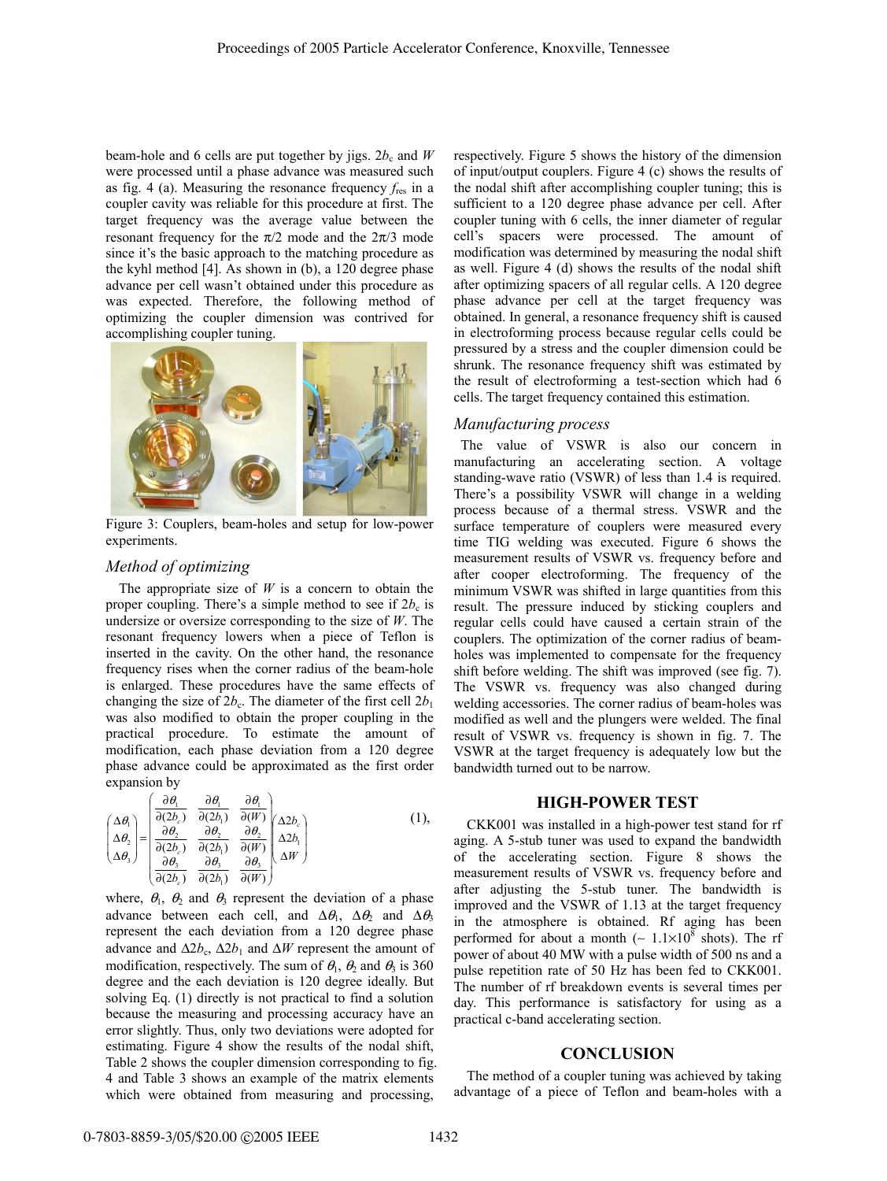beam-hole and 6 cells are put together by jigs.  $2b_c$  and *W* were processed until a phase advance was measured such as fig. 4 (a). Measuring the resonance frequency  $f_{res}$  in a coupler cavity was reliable for this procedure at first. The target frequency was the average value between the resonant frequency for the  $\pi/2$  mode and the  $2\pi/3$  mode since it's the basic approach to the matching procedure as the kyhl method [4]. As shown in (b), a 120 degree phase advance per cell wasn't obtained under this procedure as was expected. Therefore, the following method of optimizing the coupler dimension was contrived for accomplishing coupler tuning.



Figure 3: Couplers, beam-holes and setup for low-power experiments.

## *Method of optimizing*

The appropriate size of  $W$  is a concern to obtain the proper coupling. There's a simple method to see if  $2b_c$  is undersize or oversize corresponding to the size of *W*. The resonant frequency lowers when a piece of Teflon is inserted in the cavity. On the other hand, the resonance frequency rises when the corner radius of the beam-hole is enlarged. These procedures have the same effects of changing the size of  $2b_c$ . The diameter of the first cell  $2b_1$ was also modified to obtain the proper coupling in the practical procedure. To estimate the amount of modification, each phase deviation from a 120 degree phase advance could be approximated as the first order expansion by

$$
\begin{pmatrix}\n\Delta\theta_1 \\
\Delta\theta_2 \\
\Delta\theta_3\n\end{pmatrix} = \begin{pmatrix}\n\frac{\partial \theta_1}{\partial (2b_c)} & \frac{\partial \theta_1}{\partial (2b_1)} & \frac{\partial \theta_1}{\partial (W)} \\
\frac{\partial \theta_2}{\partial (2b_c)} & \frac{\partial \theta_2}{\partial (2b_1)} & \frac{\partial \theta_2}{\partial (W)} \\
\frac{\partial \theta_3}{\partial (2b_c)} & \frac{\partial \theta_3}{\partial (2b_1)} & \frac{\partial \theta_3}{\partial (W)} & \frac{\partial \theta_3}{\partial (W)}\n\end{pmatrix}
$$
\n(1),

where,  $\theta_1$ ,  $\theta_2$  and  $\theta_3$  represent the deviation of a phase advance between each cell, and  $\Delta\theta_1$ ,  $\Delta\theta_2$  and  $\Delta\theta_3$ represent the each deviation from a 120 degree phase advance and  $\Delta 2b_c$ ,  $\Delta 2b_1$  and  $\Delta W$  represent the amount of modification, respectively. The sum of  $\theta_1$ ,  $\theta_2$  and  $\theta_3$  is 360 degree and the each deviation is 120 degree ideally. But solving Eq. (1) directly is not practical to find a solution because the measuring and processing accuracy have an error slightly. Thus, only two deviations were adopted for estimating. Figure 4 show the results of the nodal shift, Table 2 shows the coupler dimension corresponding to fig. 4 and Table 3 shows an example of the matrix elements which were obtained from measuring and processing,

respectively. Figure 5 shows the history of the dimension of input/output couplers. Figure 4 (c) shows the results of the nodal shift after accomplishing coupler tuning; this is sufficient to a 120 degree phase advance per cell. After coupler tuning with 6 cells, the inner diameter of regular cell's spacers were processed. The amount of modification was determined by measuring the nodal shift as well. Figure 4 (d) shows the results of the nodal shift after optimizing spacers of all regular cells. A 120 degree phase advance per cell at the target frequency was obtained. In general, a resonance frequency shift is caused in electroforming process because regular cells could be pressured by a stress and the coupler dimension could be shrunk. The resonance frequency shift was estimated by the result of electroforming a test-section which had 6 cells. The target frequency contained this estimation.

#### *Manufacturing process*

The value of VSWR is also our concern in manufacturing an accelerating section. A voltage standing-wave ratio (VSWR) of less than 1.4 is required. There's a possibility VSWR will change in a welding process because of a thermal stress. VSWR and the surface temperature of couplers were measured every time TIG welding was executed. Figure 6 shows the measurement results of VSWR vs. frequency before and after cooper electroforming. The frequency of the minimum VSWR was shifted in large quantities from this result. The pressure induced by sticking couplers and regular cells could have caused a certain strain of the couplers. The optimization of the corner radius of beamholes was implemented to compensate for the frequency shift before welding. The shift was improved (see fig. 7). The VSWR vs. frequency was also changed during welding accessories. The corner radius of beam-holes was modified as well and the plungers were welded. The final result of VSWR vs. frequency is shown in fig. 7. The VSWR at the target frequency is adequately low but the bandwidth turned out to be narrow.

## **HIGH-POWER TEST**

CKK001 was installed in a high-power test stand for rf aging. A 5-stub tuner was used to expand the bandwidth of the accelerating section. Figure 8 shows the measurement results of VSWR vs. frequency before and after adjusting the 5-stub tuner. The bandwidth is improved and the VSWR of 1.13 at the target frequency in the atmosphere is obtained. Rf aging has been performed for about a month ( $\sim 1.1 \times 10^8$  shots). The rf power of about 40 MW with a pulse width of 500 ns and a pulse repetition rate of 50 Hz has been fed to CKK001. The number of rf breakdown events is several times per day. This performance is satisfactory for using as a practical c-band accelerating section.

### **CONCLUSION**

The method of a coupler tuning was achieved by taking advantage of a piece of Teflon and beam-holes with a